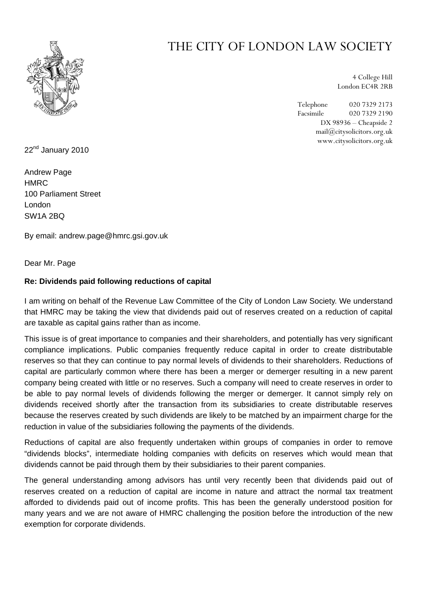

## THE CITY OF LONDON LAW SOCIETY

4 College Hill London EC4R 2RB

Telephone 020 7329 2173 Facsimile 020 7329 2190 DX 98936 – Cheapside 2 mail@citysolicitors.org.uk www.citysolicitors.org.uk

22<sup>nd</sup> January 2010

Andrew Page **HMRC** 100 Parliament Street London SW1A 2BQ

By email: andrew.page@hmrc.gsi.gov.uk

Dear Mr. Page

## **Re: Dividends paid following reductions of capital**

I am writing on behalf of the Revenue Law Committee of the City of London Law Society. We understand that HMRC may be taking the view that dividends paid out of reserves created on a reduction of capital are taxable as capital gains rather than as income.

This issue is of great importance to companies and their shareholders, and potentially has very significant compliance implications. Public companies frequently reduce capital in order to create distributable reserves so that they can continue to pay normal levels of dividends to their shareholders. Reductions of capital are particularly common where there has been a merger or demerger resulting in a new parent company being created with little or no reserves. Such a company will need to create reserves in order to be able to pay normal levels of dividends following the merger or demerger. It cannot simply rely on dividends received shortly after the transaction from its subsidiaries to create distributable reserves because the reserves created by such dividends are likely to be matched by an impairment charge for the reduction in value of the subsidiaries following the payments of the dividends.

Reductions of capital are also frequently undertaken within groups of companies in order to remove "dividends blocks", intermediate holding companies with deficits on reserves which would mean that dividends cannot be paid through them by their subsidiaries to their parent companies.

The general understanding among advisors has until very recently been that dividends paid out of reserves created on a reduction of capital are income in nature and attract the normal tax treatment afforded to dividends paid out of income profits. This has been the generally understood position for many years and we are not aware of HMRC challenging the position before the introduction of the new exemption for corporate dividends.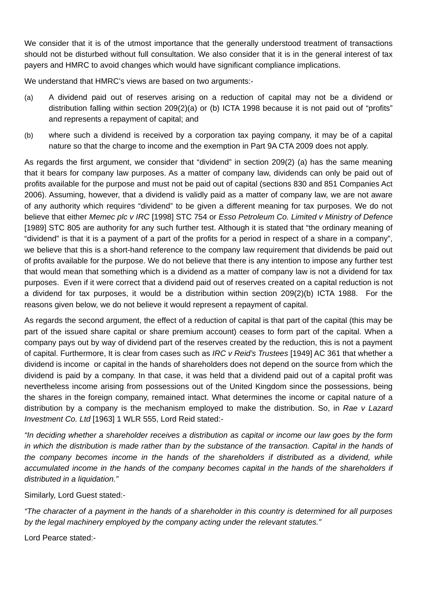We consider that it is of the utmost importance that the generally understood treatment of transactions should not be disturbed without full consultation. We also consider that it is in the general interest of tax payers and HMRC to avoid changes which would have significant compliance implications.

We understand that HMRC's views are based on two arguments:-

- (a) A dividend paid out of reserves arising on a reduction of capital may not be a dividend or distribution falling within section 209(2)(a) or (b) ICTA 1998 because it is not paid out of "profits" and represents a repayment of capital; and
- (b) where such a dividend is received by a corporation tax paying company, it may be of a capital nature so that the charge to income and the exemption in Part 9A CTA 2009 does not apply.

As regards the first argument, we consider that "dividend" in section 209(2) (a) has the same meaning that it bears for company law purposes. As a matter of company law, dividends can only be paid out of profits available for the purpose and must not be paid out of capital (sections 830 and 851 Companies Act 2006). Assuming, however, that a dividend is validly paid as a matter of company law, we are not aware of any authority which requires "dividend" to be given a different meaning for tax purposes. We do not believe that either *Memec plc v IRC* [1998] STC 754 or *Esso Petroleum Co. Limited v Ministry of Defence*  [1989] STC 805 are authority for any such further test. Although it is stated that "the ordinary meaning of "dividend" is that it is a payment of a part of the profits for a period in respect of a share in a company", we believe that this is a short-hand reference to the company law requirement that dividends be paid out of profits available for the purpose. We do not believe that there is any intention to impose any further test that would mean that something which is a dividend as a matter of company law is not a dividend for tax purposes. Even if it were correct that a dividend paid out of reserves created on a capital reduction is not a dividend for tax purposes, it would be a distribution within section 209(2)(b) ICTA 1988. For the reasons given below, we do not believe it would represent a repayment of capital.

As regards the second argument, the effect of a reduction of capital is that part of the capital (this may be part of the issued share capital or share premium account) ceases to form part of the capital. When a company pays out by way of dividend part of the reserves created by the reduction, this is not a payment of capital. Furthermore, It is clear from cases such as *IRC v Reid's Trustees* [1949] AC 361 that whether a dividend is income or capital in the hands of shareholders does not depend on the source from which the dividend is paid by a company. In that case, it was held that a dividend paid out of a capital profit was nevertheless income arising from possessions out of the United Kingdom since the possessions, being the shares in the foreign company, remained intact. What determines the income or capital nature of a distribution by a company is the mechanism employed to make the distribution. So, in *Rae v Lazard Investment Co. Ltd* [1963] 1 WLR 555, Lord Reid stated:-

*"In deciding whether a shareholder receives a distribution as capital or income our law goes by the form in which the distribution is made rather than by the substance of the transaction. Capital in the hands of the company becomes income in the hands of the shareholders if distributed as a dividend, while*  accumulated income in the hands of the company becomes capital in the hands of the shareholders if *distributed in a liquidation."* 

Similarly, Lord Guest stated:-

*"The character of a payment in the hands of a shareholder in this country is determined for all purposes by the legal machinery employed by the company acting under the relevant statutes."* 

Lord Pearce stated:-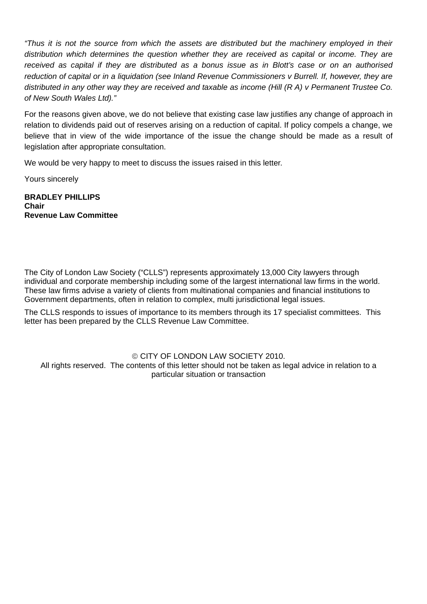*"Thus it is not the source from which the assets are distributed but the machinery employed in their distribution which determines the question whether they are received as capital or income. They are received as capital if they are distributed as a bonus issue as in Blott's case or on an authorised reduction of capital or in a liquidation (see Inland Revenue Commissioners v Burrell. If, however, they are distributed in any other way they are received and taxable as income (Hill (R A) v Permanent Trustee Co. of New South Wales Ltd)."* 

For the reasons given above, we do not believe that existing case law justifies any change of approach in relation to dividends paid out of reserves arising on a reduction of capital. If policy compels a change, we believe that in view of the wide importance of the issue the change should be made as a result of legislation after appropriate consultation.

We would be very happy to meet to discuss the issues raised in this letter.

Yours sincerely

**BRADLEY PHILLIPS Chair Revenue Law Committee** 

The City of London Law Society ("CLLS") represents approximately 13,000 City lawyers through individual and corporate membership including some of the largest international law firms in the world. These law firms advise a variety of clients from multinational companies and financial institutions to Government departments, often in relation to complex, multi jurisdictional legal issues.

The CLLS responds to issues of importance to its members through its 17 specialist committees. This letter has been prepared by the CLLS Revenue Law Committee.

© CITY OF LONDON LAW SOCIETY 2010. All rights reserved. The contents of this letter should not be taken as legal advice in relation to a particular situation or transaction